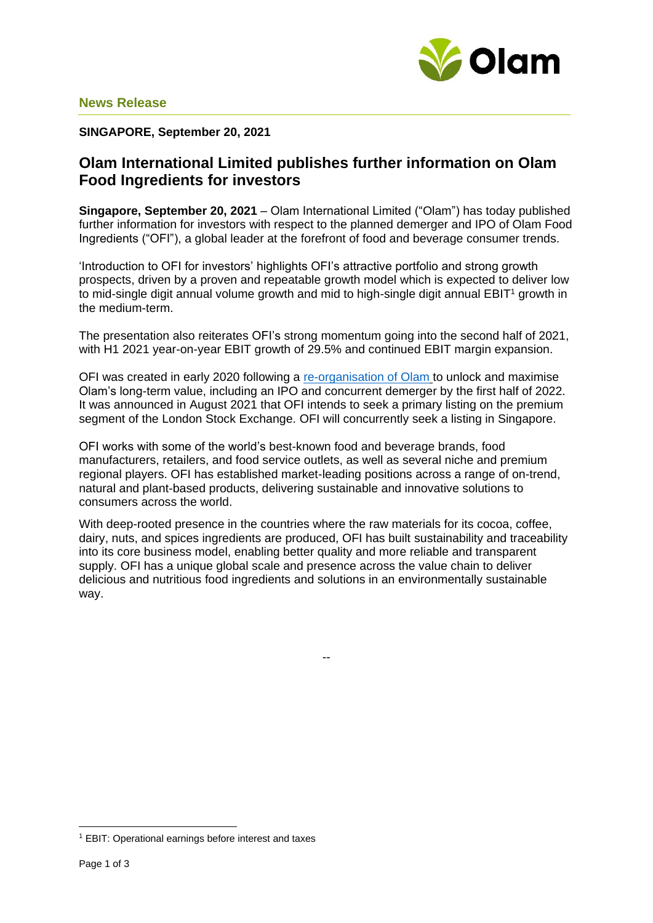

## **SINGAPORE, September 20, 2021**

# **Olam International Limited publishes further information on Olam Food Ingredients for investors**

**Singapore, September 20, 2021** – Olam International Limited ("Olam") has today published further information for investors with respect to the planned demerger and IPO of Olam Food Ingredients ("OFI"), a global leader at the forefront of food and beverage consumer trends.

'Introduction to OFI for investors' highlights OFI's attractive portfolio and strong growth prospects, driven by a proven and repeatable growth model which is expected to deliver low to mid-single digit annual volume growth and mid to high-single digit annual EBIT<sup>1</sup> growth in the medium-term.

The presentation also reiterates OFI's strong momentum going into the second half of 2021, with H1 2021 year-on-year EBIT growth of 29.5% and continued EBIT margin expansion.

OFI was created in early 2020 following a [re-organisation of Olam](https://www.olamgroup.com/content/dam/olamgroup/investor-relations/ir-library/sgx-filings/sgx-filings-pdfs/26Feb2021-Reorganisation-Update.pdf) to unlock and maximise Olam's long-term value, including an IPO and concurrent demerger by the first half of 2022. It was announced in August 2021 that OFI intends to seek a primary listing on the premium segment of the London Stock Exchange. OFI will concurrently seek a listing in Singapore.

OFI works with some of the world's best-known food and beverage brands, food manufacturers, retailers, and food service outlets, as well as several niche and premium regional players. OFI has established market-leading positions across a range of on-trend, natural and plant-based products, delivering sustainable and innovative solutions to consumers across the world.

With deep-rooted presence in the countries where the raw materials for its cocoa, coffee, dairy, nuts, and spices ingredients are produced, OFI has built sustainability and traceability into its core business model, enabling better quality and more reliable and transparent supply. OFI has a unique global scale and presence across the value chain to deliver delicious and nutritious food ingredients and solutions in an environmentally sustainable way.

--

<sup>1</sup> EBIT: Operational earnings before interest and taxes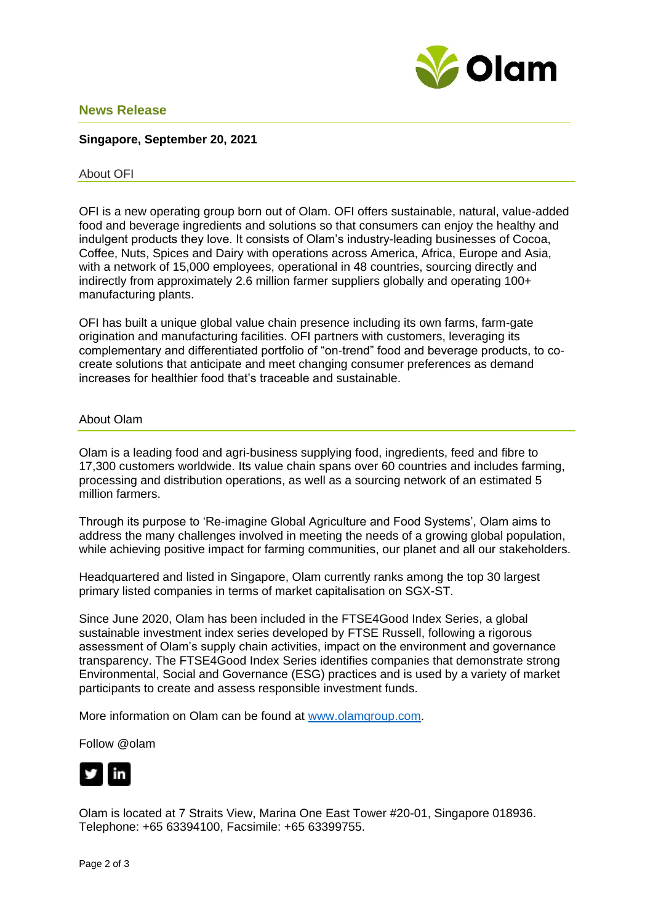

## **News Release**

### **Singapore, September 20, 2021**

#### About OFI

OFI is a new operating group born out of Olam. OFI offers sustainable, natural, value-added food and beverage ingredients and solutions so that consumers can enjoy the healthy and indulgent products they love. It consists of Olam's industry-leading businesses of Cocoa, Coffee, Nuts, Spices and Dairy with operations across America, Africa, Europe and Asia, with a network of 15,000 employees, operational in 48 countries, sourcing directly and indirectly from approximately 2.6 million farmer suppliers globally and operating 100+ manufacturing plants.

OFI has built a unique global value chain presence including its own farms, farm-gate origination and manufacturing facilities. OFI partners with customers, leveraging its complementary and differentiated portfolio of "on-trend" food and beverage products, to cocreate solutions that anticipate and meet changing consumer preferences as demand increases for healthier food that's traceable and sustainable.

#### About Olam

Olam is a leading food and agri-business supplying food, ingredients, feed and fibre to 17,300 customers worldwide. Its value chain spans over 60 countries and includes farming, processing and distribution operations, as well as a sourcing network of an estimated 5 million farmers.

Through its purpose to 'Re-imagine Global Agriculture and Food Systems', Olam aims to address the many challenges involved in meeting the needs of a growing global population, while achieving positive impact for farming communities, our planet and all our stakeholders.

Headquartered and listed in Singapore, Olam currently ranks among the top 30 largest primary listed companies in terms of market capitalisation on SGX-ST.

Since June 2020, Olam has been included in the FTSE4Good Index Series, a global sustainable investment index series developed by FTSE Russell, following a rigorous assessment of Olam's supply chain activities, impact on the environment and governance transparency. The FTSE4Good Index Series identifies companies that demonstrate strong Environmental, Social and Governance (ESG) practices and is used by a variety of market participants to create and assess responsible investment funds.

More information on Olam can be found at [www.olamgroup.com.](http://www.olamgroup.com/)

Follow @olam



Olam is located at 7 Straits View, Marina One East Tower #20-01, Singapore 018936. Telephone: +65 63394100, Facsimile: +65 63399755.